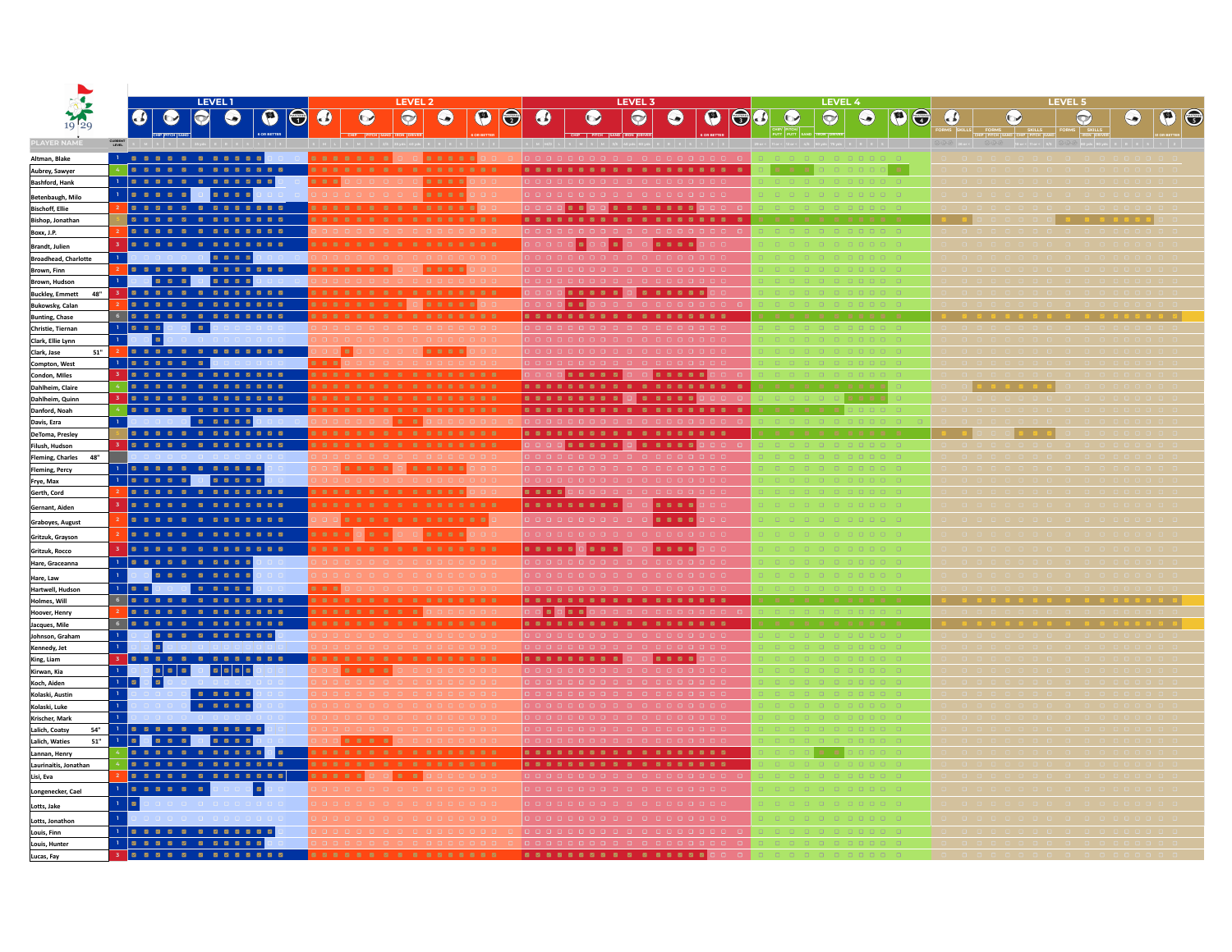|                                                 |                                                                                                                                                     | <b>LEVEL1</b>                                                                 |                |                                     |                     | <b>LEVEL 2</b> |           |           |            |                                |          | <b>LEVEL 3</b>         |                       |     |         | <b>LEVEL 4</b> |           |                           |           |         | <b>LEVEL 5</b> |                                                                                                                                                                                                                                                                                                                                                 |           |
|-------------------------------------------------|-----------------------------------------------------------------------------------------------------------------------------------------------------|-------------------------------------------------------------------------------|----------------|-------------------------------------|---------------------|----------------|-----------|-----------|------------|--------------------------------|----------|------------------------|-----------------------|-----|---------|----------------|-----------|---------------------------|-----------|---------|----------------|-------------------------------------------------------------------------------------------------------------------------------------------------------------------------------------------------------------------------------------------------------------------------------------------------------------------------------------------------|-----------|
|                                                 | $\bullet$<br>$\bullet$                                                                                                                              | $ \bullet $<br>$\bullet$                                                      | $\bullet$      | $\bigcirc$<br>$\boldsymbol{\omega}$ | $\bullet$           | $\bullet$      | $\bullet$ | $\bullet$ | $\bigcirc$ | $\omega$                       | $\omega$ | $\bullet$<br>$\bullet$ | $\boldsymbol{\Theta}$ | 100 | $\odot$ | $\odot$        | $\odot$   | $\bigoplus$<br>$\bigcirc$ | $\bullet$ | $\odot$ | $\bigodot$     | $\left( \bullet \right)$                                                                                                                                                                                                                                                                                                                        | $\bullet$ |
| PLAYER NAME                                     | <b>CURRENT</b>                                                                                                                                      |                                                                               |                |                                     |                     |                |           |           |            |                                |          |                        |                       |     |         |                | a teles i |                           |           |         |                | $\mathbb{R}^{\mathbb{R} \times \mathbb{R} \times \mathbb{R}}$ coyds $\mathbb{R}$ $\mathbb{R}$ $\mathbb{R}$ $\mathbb{R}$ $\mathbb{R}$ $\mathbb{R}$ $\mathbb{R}$ $\mathbb{R}$ $\mathbb{R}$ $\mathbb{R}$ $\mathbb{R}$ $\mathbb{R}$ $\mathbb{R}$ $\mathbb{R}$ $\mathbb{R}$ $\mathbb{R}$ $\mathbb{R}$ $\mathbb{R}$ $\mathbb{R}$ $\mathbb{R}$ $\math$ |           |
| Altman, Blake                                   | 1 2 2 2 2 2 2 2 2 2 2 2                                                                                                                             |                                                                               |                |                                     | .                   |                | 82222     |           |            |                                |          |                        |                       |     |         |                |           |                           |           |         |                |                                                                                                                                                                                                                                                                                                                                                 |           |
| Aubrey, Sawyer                                  | . <b>.</b> .                                                                                                                                        |                                                                               |                |                                     | .                   |                |           |           |            |                                |          |                        |                       |     |         |                |           |                           |           |         |                |                                                                                                                                                                                                                                                                                                                                                 |           |
| <b>Bashford, Hank</b>                           | 1   2 2 2 2 2 2 2 2 2 2 2 1                                                                                                                         |                                                                               |                | .                                   |                     |                | 2222      |           |            |                                |          |                        |                       |     |         |                |           |                           |           |         |                |                                                                                                                                                                                                                                                                                                                                                 |           |
| Betenbaugh, Milo                                | 1 2 2 2 2 2 3 2 2 2 2                                                                                                                               |                                                                               |                |                                     |                     |                | 2222      |           |            | 00000000000000                 |          |                        |                       |     |         |                |           |                           |           |         |                |                                                                                                                                                                                                                                                                                                                                                 |           |
| <b>Bischoff, Ellie</b>                          |                                                                                                                                                     |                                                                               |                |                                     | -------------<br>.  |                |           |           |            |                                |          |                        |                       |     |         |                |           |                           |           |         |                |                                                                                                                                                                                                                                                                                                                                                 |           |
| Bishop, Jonathan<br>Boxx, J.P.                  |                                                                                                                                                     |                                                                               |                |                                     |                     |                |           |           |            |                                |          |                        |                       |     |         |                |           |                           |           |         |                |                                                                                                                                                                                                                                                                                                                                                 |           |
| Brandt, Julien                                  | 3 <b>.</b>                                                                                                                                          |                                                                               |                |                                     | .                   |                |           |           |            |                                |          | .                      |                       |     |         |                |           |                           |           |         |                |                                                                                                                                                                                                                                                                                                                                                 |           |
| <b>Broadhead, Charlotte</b>                     | $1 -$                                                                                                                                               | 2222                                                                          |                |                                     |                     |                |           |           |            |                                |          |                        |                       |     |         |                |           |                           |           |         |                |                                                                                                                                                                                                                                                                                                                                                 |           |
| Brown, Finn                                     |                                                                                                                                                     |                                                                               |                |                                     |                     |                | 8999      |           |            |                                |          |                        |                       |     |         |                |           |                           |           |         |                |                                                                                                                                                                                                                                                                                                                                                 |           |
| Brown, Hudson                                   |                                                                                                                                                     |                                                                               |                |                                     |                     |                |           |           |            |                                |          |                        |                       |     |         |                |           |                           |           |         |                |                                                                                                                                                                                                                                                                                                                                                 |           |
| <b>Buckley, Emmett</b><br>48"                   | 3 <b>.</b>                                                                                                                                          |                                                                               |                |                                     | .<br>. <del>.</del> |                |           |           |            | 88000                          |          | nnnn                   |                       |     |         |                |           |                           |           |         |                |                                                                                                                                                                                                                                                                                                                                                 |           |
| <b>Bukowsky, Calan</b><br><b>Bunting, Chase</b> | . <b>.</b> .                                                                                                                                        |                                                                               |                |                                     |                     |                |           |           |            | .                              |          |                        |                       |     |         |                |           |                           |           |         |                |                                                                                                                                                                                                                                                                                                                                                 |           |
| Christie, Tiernan                               | $1$ $2$ $2$ $2$                                                                                                                                     | <b>Part</b>                                                                   |                |                                     |                     |                |           |           |            |                                |          |                        |                       |     |         |                |           |                           |           |         |                |                                                                                                                                                                                                                                                                                                                                                 |           |
| Clark, Ellie Lynn                               | 1000                                                                                                                                                |                                                                               |                |                                     |                     |                |           |           |            |                                |          |                        |                       |     |         |                |           |                           |           |         |                |                                                                                                                                                                                                                                                                                                                                                 |           |
| 51"<br>Clark, Jase                              | 2 <b>.</b>                                                                                                                                          |                                                                               |                |                                     | 1 a l               |                | 2222      |           |            |                                |          |                        |                       |     |         |                |           |                           |           |         |                |                                                                                                                                                                                                                                                                                                                                                 |           |
| Compton, West                                   | 3 <b>.</b> .                                                                                                                                        |                                                                               |                | 222                                 | .                   |                |           |           |            |                                |          | 1 <del>.</del>         |                       |     |         |                |           |                           |           |         |                |                                                                                                                                                                                                                                                                                                                                                 |           |
| Condon, Miles<br>Dahlheim, Claire               | 4 <b>.</b>                                                                                                                                          |                                                                               |                |                                     | .                   |                |           |           |            |                                |          |                        |                       |     |         |                |           |                           |           |         |                |                                                                                                                                                                                                                                                                                                                                                 |           |
| Dahlheim, Quinn                                 | 3 <b>.</b>                                                                                                                                          |                                                                               |                |                                     | .                   |                |           |           |            |                                |          |                        |                       |     |         |                |           |                           |           |         |                |                                                                                                                                                                                                                                                                                                                                                 |           |
| Danford, Noah                                   |                                                                                                                                                     |                                                                               |                |                                     | 10000000000000000   |                |           |           |            | .                              |          |                        |                       |     |         |                |           |                           |           |         |                |                                                                                                                                                                                                                                                                                                                                                 |           |
| Davis, Ezra                                     |                                                                                                                                                     | .                                                                             |                |                                     |                     | <b>B B C</b>   |           |           |            |                                |          |                        |                       |     |         |                |           |                           |           |         |                |                                                                                                                                                                                                                                                                                                                                                 |           |
| DeToma, Presley                                 | 3 <b>.</b>                                                                                                                                          |                                                                               |                |                                     |                     |                |           |           |            | 0000 <mark>888880</mark> 88880 |          |                        |                       |     |         |                |           |                           |           |         |                |                                                                                                                                                                                                                                                                                                                                                 |           |
| Filush, Hudson<br>Fleming, Charles 48"          |                                                                                                                                                     |                                                                               |                |                                     |                     |                |           |           |            |                                |          |                        |                       |     |         |                |           |                           |           |         |                |                                                                                                                                                                                                                                                                                                                                                 |           |
| <b>Fleming, Percy</b>                           | 1 2 2 2 2 2 2 2 2 2 2 2                                                                                                                             |                                                                               |                |                                     | .                   |                |           |           |            |                                |          |                        |                       |     |         |                |           |                           |           |         |                |                                                                                                                                                                                                                                                                                                                                                 |           |
| Frye, Max                                       | 1 2 2 2 2 2 3 2 3 2 3                                                                                                                               |                                                                               |                |                                     |                     |                |           |           |            | n n n n n                      |          |                        |                       |     |         |                |           |                           |           |         |                |                                                                                                                                                                                                                                                                                                                                                 |           |
| Gerth, Cord                                     |                                                                                                                                                     |                                                                               |                |                                     |                     |                |           |           |            | 22220                          |          |                        |                       |     |         |                |           |                           |           |         |                |                                                                                                                                                                                                                                                                                                                                                 |           |
| Gernant, Aiden                                  |                                                                                                                                                     | 122222222222                                                                  |                |                                     | .                   |                |           |           |            | .                              |          | .                      |                       |     |         |                |           |                           |           |         |                |                                                                                                                                                                                                                                                                                                                                                 |           |
| Graboyes, August                                |                                                                                                                                                     |                                                                               |                |                                     | 123223333333        |                |           |           |            | .                              |          | .                      |                       |     |         |                |           |                           |           |         |                |                                                                                                                                                                                                                                                                                                                                                 |           |
| Gritzuk, Grayson                                |                                                                                                                                                     |                                                                               |                |                                     | . <del>.</del>      |                | 8222      |           |            | 00000                          |          | .                      |                       |     |         |                |           |                           |           |         |                |                                                                                                                                                                                                                                                                                                                                                 |           |
| Gritzuk, Rocco                                  | 3 <b>.</b>                                                                                                                                          |                                                                               |                |                                     | .                   |                |           |           |            | .                              |          | .                      |                       |     |         |                |           |                           |           |         |                |                                                                                                                                                                                                                                                                                                                                                 |           |
| Hare, Graceanna                                 | 1000000000                                                                                                                                          |                                                                               |                |                                     |                     |                |           |           |            |                                |          |                        |                       |     |         |                |           |                           |           |         |                |                                                                                                                                                                                                                                                                                                                                                 |           |
| Hare, Law                                       |                                                                                                                                                     | .                                                                             |                |                                     |                     |                |           |           |            |                                |          |                        |                       |     |         |                |           |                           |           |         |                |                                                                                                                                                                                                                                                                                                                                                 |           |
| Hartwell, Hudson<br>Holmes, Will                | 1 2 2 0 0 0 2 2 2 2 2<br>. <b>In dia dia dia dia dia dia 1988 dia 488 dia 488 dia 488 dia 488 dia 488 dia 488 dia 488 dia 488 dia 488 dia 488 d</b> |                                                                               |                | .                                   |                     |                |           |           |            |                                |          |                        |                       |     |         |                |           |                           |           |         |                |                                                                                                                                                                                                                                                                                                                                                 |           |
| Hoover, Henry                                   |                                                                                                                                                     |                                                                               |                |                                     |                     |                |           |           |            |                                |          |                        |                       |     |         |                |           |                           |           |         |                |                                                                                                                                                                                                                                                                                                                                                 |           |
| Jacques, Mile                                   | 6 <b>.</b>                                                                                                                                          |                                                                               |                |                                     | .                   |                |           |           |            | .                              |          |                        |                       |     |         |                |           |                           |           |         |                |                                                                                                                                                                                                                                                                                                                                                 |           |
| Johnson, Graham                                 |                                                                                                                                                     |                                                                               |                |                                     |                     |                |           |           |            |                                |          |                        |                       |     |         |                |           |                           |           |         |                |                                                                                                                                                                                                                                                                                                                                                 |           |
| Kennedy, Jet                                    | $\blacksquare$                                                                                                                                      |                                                                               |                |                                     |                     |                |           |           |            |                                |          |                        |                       |     |         |                |           |                           |           |         |                |                                                                                                                                                                                                                                                                                                                                                 |           |
| King, Liam<br>Kirwan, Kia                       | $\mathbf{1}$ $\mathbf{0}$ $\mathbf{0}$                                                                                                              | <b>EEE EEE</b>                                                                |                |                                     | 00000000            |                |           |           |            | .                              |          | <b>.</b>               |                       |     |         |                |           |                           |           |         |                |                                                                                                                                                                                                                                                                                                                                                 |           |
| Koch, Aiden                                     | ▌ø▏<br>$1$ $2$                                                                                                                                      |                                                                               |                |                                     |                     |                |           |           |            |                                |          |                        |                       |     |         |                |           |                           |           |         |                |                                                                                                                                                                                                                                                                                                                                                 |           |
| Kolaski, Austin                                 |                                                                                                                                                     | .                                                                             |                |                                     |                     |                |           |           |            |                                |          |                        |                       |     |         |                |           |                           |           |         |                |                                                                                                                                                                                                                                                                                                                                                 |           |
| Kolaski, Luke                                   |                                                                                                                                                     | $\begin{array}{cccccccccccccc} \Xi & \Xi & \Xi & \Xi & \Xi & \Xi \end{array}$ |                |                                     |                     |                |           |           |            |                                |          |                        |                       |     |         |                |           |                           |           |         |                |                                                                                                                                                                                                                                                                                                                                                 |           |
| Krischer, Mark                                  |                                                                                                                                                     |                                                                               |                |                                     |                     |                |           |           |            |                                |          |                        |                       |     |         |                |           |                           |           |         |                |                                                                                                                                                                                                                                                                                                                                                 |           |
| Lalich, Coatsy<br>54"<br>Lalich, Waties<br>51"  | 1 2 2 2 2 2 2 2 2 2 2 2<br>190990 8888                                                                                                              |                                                                               |                |                                     | 8223                |                |           |           |            |                                |          |                        |                       |     |         |                |           |                           |           |         |                |                                                                                                                                                                                                                                                                                                                                                 |           |
| Lannan, Henry                                   |                                                                                                                                                     |                                                                               |                |                                     |                     |                |           |           |            |                                |          |                        |                       |     |         |                |           |                           |           |         |                |                                                                                                                                                                                                                                                                                                                                                 |           |
| Laurinaitis, Jonathan                           |                                                                                                                                                     |                                                                               |                |                                     |                     |                |           |           |            | .                              |          |                        |                       |     |         |                |           |                           |           |         |                |                                                                                                                                                                                                                                                                                                                                                 |           |
| Lisi, Eva                                       |                                                                                                                                                     |                                                                               |                |                                     |                     | 83             |           |           |            |                                |          |                        |                       |     |         |                |           |                           |           |         |                |                                                                                                                                                                                                                                                                                                                                                 |           |
| Longenecker, Cael                               | 1 2 2 2 2 2 2                                                                                                                                       |                                                                               | $\blacksquare$ |                                     |                     |                |           |           |            |                                |          |                        |                       |     |         |                |           |                           |           |         |                |                                                                                                                                                                                                                                                                                                                                                 |           |
| Lotts, Jake                                     | $1$ $\alpha$                                                                                                                                        |                                                                               |                |                                     |                     |                |           |           |            |                                |          |                        |                       |     |         |                |           |                           |           |         |                |                                                                                                                                                                                                                                                                                                                                                 |           |
| Lotts, Jonathon                                 |                                                                                                                                                     |                                                                               |                |                                     |                     |                |           |           |            |                                |          |                        |                       |     |         |                |           |                           |           |         |                |                                                                                                                                                                                                                                                                                                                                                 |           |
| Louis, Finn                                     | 1 2 2 2 2 2 2 2 2 2 2 2                                                                                                                             |                                                                               |                |                                     |                     |                |           |           |            |                                |          |                        |                       |     |         |                |           |                           |           |         |                |                                                                                                                                                                                                                                                                                                                                                 |           |
| Louis, Hunter                                   | 1 2 2 2 2 2 2 2 2 2 2 2                                                                                                                             |                                                                               |                |                                     |                     |                |           |           |            |                                |          |                        |                       |     |         |                |           |                           |           |         |                |                                                                                                                                                                                                                                                                                                                                                 |           |
| Lucas, Fay                                      |                                                                                                                                                     |                                                                               |                |                                     |                     |                |           |           |            |                                |          |                        |                       |     |         |                |           |                           |           |         |                |                                                                                                                                                                                                                                                                                                                                                 |           |